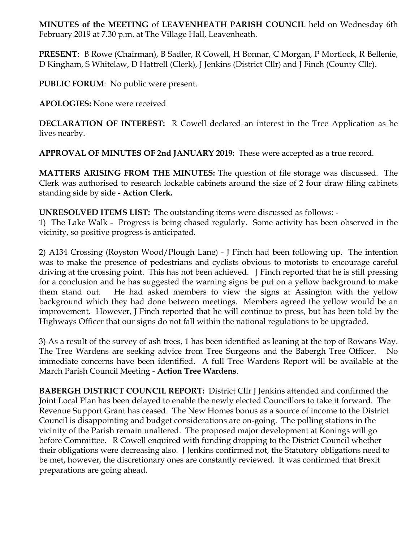**MINUTES of the MEETING** of **LEAVENHEATH PARISH COUNCIL** held on Wednesday 6th February 2019 at 7.30 p.m. at The Village Hall, Leavenheath.

**PRESENT**: B Rowe (Chairman), B Sadler, R Cowell, H Bonnar, C Morgan, P Mortlock, R Bellenie, D Kingham, S Whitelaw, D Hattrell (Clerk), J Jenkins (District Cllr) and J Finch (County Cllr).

**PUBLIC FORUM**: No public were present.

**APOLOGIES:** None were received

**DECLARATION OF INTEREST:** R Cowell declared an interest in the Tree Application as he lives nearby.

**APPROVAL OF MINUTES OF 2nd JANUARY 2019:** These were accepted as a true record.

**MATTERS ARISING FROM THE MINUTES:** The question of file storage was discussed. The Clerk was authorised to research lockable cabinets around the size of 2 four draw filing cabinets standing side by side **- Action Clerk.** 

**UNRESOLVED ITEMS LIST:** The outstanding items were discussed as follows: -

1) The Lake Walk - Progress is being chased regularly. Some activity has been observed in the vicinity, so positive progress is anticipated.

2) A134 Crossing (Royston Wood/Plough Lane) - J Finch had been following up. The intention was to make the presence of pedestrians and cyclists obvious to motorists to encourage careful driving at the crossing point. This has not been achieved. J Finch reported that he is still pressing for a conclusion and he has suggested the warning signs be put on a yellow background to make them stand out. He had asked members to view the signs at Assington with the yellow background which they had done between meetings. Members agreed the yellow would be an improvement. However, J Finch reported that he will continue to press, but has been told by the Highways Officer that our signs do not fall within the national regulations to be upgraded.

3) As a result of the survey of ash trees, 1 has been identified as leaning at the top of Rowans Way. The Tree Wardens are seeking advice from Tree Surgeons and the Babergh Tree Officer. No immediate concerns have been identified. A full Tree Wardens Report will be available at the March Parish Council Meeting - **Action Tree Wardens**.

**BABERGH DISTRICT COUNCIL REPORT:** District Cllr J Jenkins attended and confirmed the Joint Local Plan has been delayed to enable the newly elected Councillors to take it forward. The Revenue Support Grant has ceased. The New Homes bonus as a source of income to the District Council is disappointing and budget considerations are on-going. The polling stations in the vicinity of the Parish remain unaltered. The proposed major development at Konings will go before Committee. R Cowell enquired with funding dropping to the District Council whether their obligations were decreasing also. J Jenkins confirmed not, the Statutory obligations need to be met, however, the discretionary ones are constantly reviewed. It was confirmed that Brexit preparations are going ahead.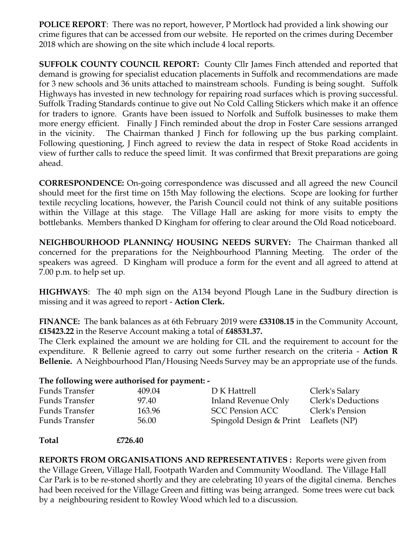**POLICE REPORT**: There was no report, however, P Mortlock had provided a link showing our crime figures that can be accessed from our website. He reported on the crimes during December 2018 which are showing on the site which include 4 local reports.

**SUFFOLK COUNTY COUNCIL REPORT:** County Cllr James Finch attended and reported that demand is growing for specialist education placements in Suffolk and recommendations are made for 3 new schools and 36 units attached to mainstream schools. Funding is being sought. Suffolk Highways has invested in new technology for repairing road surfaces which is proving successful. Suffolk Trading Standards continue to give out No Cold Calling Stickers which make it an offence for traders to ignore. Grants have been issued to Norfolk and Suffolk businesses to make them more energy efficient. Finally J Finch reminded about the drop in Foster Care sessions arranged in the vicinity. The Chairman thanked J Finch for following up the bus parking complaint. Following questioning, J Finch agreed to review the data in respect of Stoke Road accidents in view of further calls to reduce the speed limit. It was confirmed that Brexit preparations are going ahead.

**CORRESPONDENCE:** On-going correspondence was discussed and all agreed the new Council should meet for the first time on 15th May following the elections. Scope are looking for further textile recycling locations, however, the Parish Council could not think of any suitable positions within the Village at this stage. The Village Hall are asking for more visits to empty the bottlebanks. Members thanked D Kingham for offering to clear around the Old Road noticeboard.

**NEIGHBOURHOOD PLANNING/ HOUSING NEEDS SURVEY:** The Chairman thanked all concerned for the preparations for the Neighbourhood Planning Meeting. The order of the speakers was agreed. D Kingham will produce a form for the event and all agreed to attend at 7.00 p.m. to help set up.

**HIGHWAYS**: The 40 mph sign on the A134 beyond Plough Lane in the Sudbury direction is missing and it was agreed to report - **Action Clerk.** 

**FINANCE:** The bank balances as at 6th February 2019 were **£33108.15** in the Community Account, **£15423.22** in the Reserve Account making a total of **£48531.37.**

The Clerk explained the amount we are holding for CIL and the requirement to account for the expenditure. R Bellenie agreed to carry out some further research on the criteria - **Action R Bellenie.** A Neighbourhood Plan/Housing Needs Survey may be an appropriate use of the funds.

## **The following were authorised for payment: -**

| Funds Transfer | 409.04 | D K Hattrell                          | Clerk's Salary            |
|----------------|--------|---------------------------------------|---------------------------|
| Funds Transfer | 97.40  | Inland Revenue Only                   | <b>Clerk's Deductions</b> |
| Funds Transfer | 163.96 | <b>SCC Pension ACC</b>                | Clerk's Pension           |
| Funds Transfer | 56.00  | Spingold Design & Print Leaflets (NP) |                           |

## **Total £726.40**

**REPORTS FROM ORGANISATIONS AND REPRESENTATIVES :** Reports were given from the Village Green, Village Hall, Footpath Warden and Community Woodland. The Village Hall Car Park is to be re-stoned shortly and they are celebrating 10 years of the digital cinema. Benches had been received for the Village Green and fitting was being arranged. Some trees were cut back by a neighbouring resident to Rowley Wood which led to a discussion.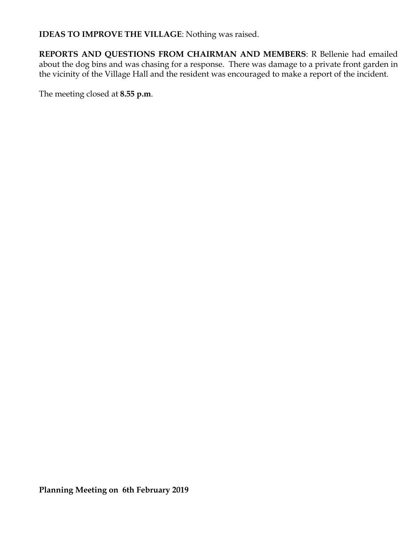**IDEAS TO IMPROVE THE VILLAGE**: Nothing was raised.

**REPORTS AND QUESTIONS FROM CHAIRMAN AND MEMBERS**: R Bellenie had emailed about the dog bins and was chasing for a response. There was damage to a private front garden in the vicinity of the Village Hall and the resident was encouraged to make a report of the incident.

The meeting closed at **8.55 p.m**.

**Planning Meeting on 6th February 2019**